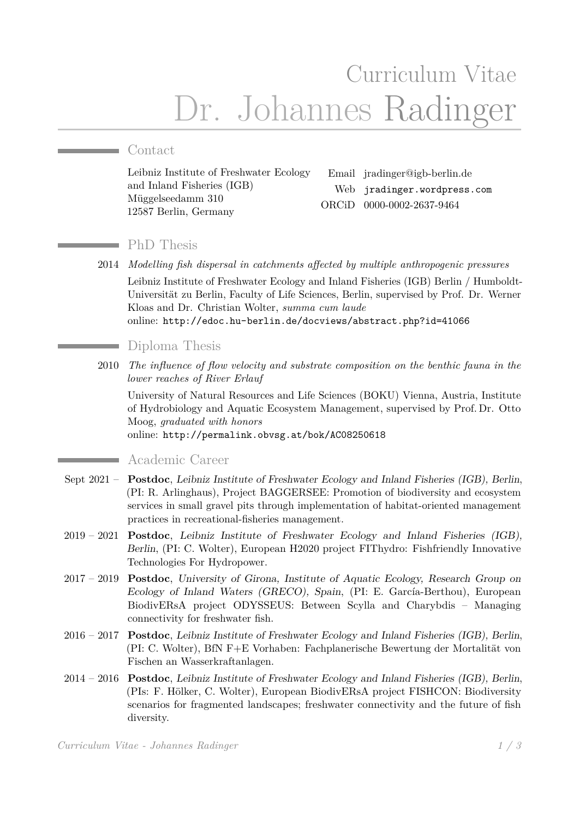# Curriculum Vitae Dr. Johannes Radinger

## Contact

Leibniz Institute of Freshwater Ecology and Inland Fisheries (IGB) Müggelseedamm 310 12587 Berlin, Germany

Email jradinger@igb-berlin.de Web [jradinger.wordpress.com](http://jradinger.wordpress.com) ORCiD [0000-0002-2637-9464](https://orcid.org/0000-0002-2637-9464)

## PhD Thesis

2014 *Modelling fish dispersal in catchments affected by multiple anthropogenic pressures* Leibniz Institute of Freshwater Ecology and Inland Fisheries (IGB) Berlin / Humboldt-Universität zu Berlin, Faculty of Life Sciences, Berlin, supervised by Prof. Dr. Werner Kloas and Dr. Christian Wolter, *summa cum laude* online: <http://edoc.hu-berlin.de/docviews/abstract.php?id=41066>

#### Diploma Thesis

2010 *The influence of flow velocity and substrate composition on the benthic fauna in the lower reaches of River Erlauf*

University of Natural Resources and Life Sciences (BOKU) Vienna, Austria, Institute of Hydrobiology and Aquatic Ecosystem Management, supervised by Prof. Dr. Otto Moog, *graduated with honors*

online: <http://permalink.obvsg.at/bok/AC08250618>

## Academic Career

- Sept 2021 **Postdoc**, Leibniz Institute of Freshwater Ecology and Inland Fisheries (IGB), Berlin, (PI: R. Arlinghaus), Project BAGGERSEE: Promotion of biodiversity and ecosystem services in small gravel pits through implementation of habitat-oriented management practices in recreational-fisheries management.
- 2019 2021 **Postdoc**, Leibniz Institute of Freshwater Ecology and Inland Fisheries (IGB), Berlin, (PI: C. Wolter), European H2020 project FIThydro: Fishfriendly Innovative Technologies For Hydropower.
- 2017 2019 **Postdoc**, University of Girona, Institute of Aquatic Ecology, Research Group on Ecology of Inland Waters (GRECO), Spain, (PI: E. García-Berthou), European BiodivERsA project ODYSSEUS: Between Scylla and Charybdis – Managing connectivity for freshwater fish.
- 2016 2017 **Postdoc**, Leibniz Institute of Freshwater Ecology and Inland Fisheries (IGB), Berlin, (PI: C. Wolter), BfN F+E Vorhaben: Fachplanerische Bewertung der Mortalität von Fischen an Wasserkraftanlagen.
- 2014 2016 **Postdoc**, Leibniz Institute of Freshwater Ecology and Inland Fisheries (IGB), Berlin, (PIs: F. Hölker, C. Wolter), European BiodivERsA project FISHCON: Biodiversity scenarios for fragmented landscapes; freshwater connectivity and the future of fish diversity.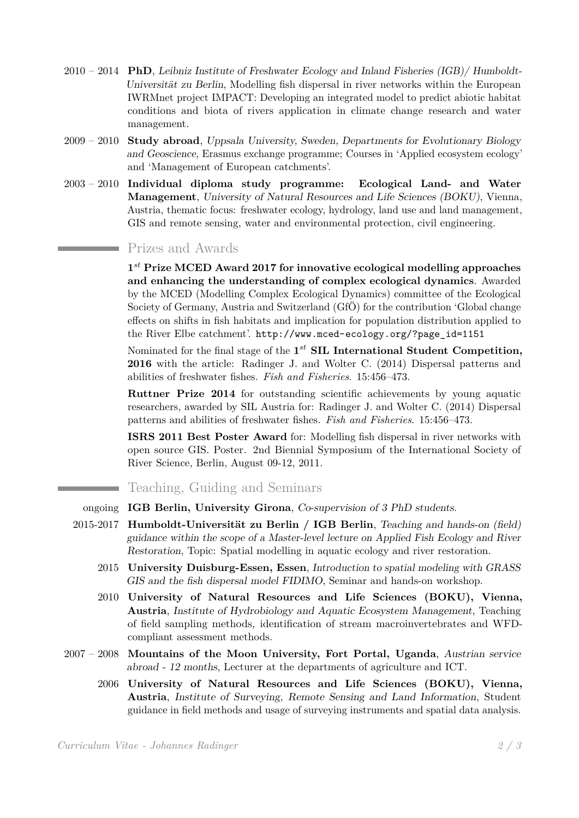- 2010 2014 **PhD**, Leibniz Institute of Freshwater Ecology and Inland Fisheries (IGB)/ Humboldt-Universität zu Berlin, Modelling fish dispersal in river networks within the European IWRMnet project IMPACT: Developing an integrated model to predict abiotic habitat conditions and biota of rivers application in climate change research and water management.
- 2009 2010 **Study abroad**, Uppsala University, Sweden, Departments for Evolutionary Biology and Geoscience, Erasmus exchange programme; Courses in 'Applied ecosystem ecology' and 'Management of European catchments'.
- 2003 2010 **Individual diploma study programme: Ecological Land- and Water Management**, University of Natural Resources and Life Sciences (BOKU), Vienna, Austria, thematic focus: freshwater ecology, hydrology, land use and land management, GIS and remote sensing, water and environmental protection, civil engineering.

#### Prizes and Awards

**1** *st* **Prize MCED Award 2017 for innovative ecological modelling approaches and enhancing the understanding of complex ecological dynamics**. Awarded by the MCED (Modelling Complex Ecological Dynamics) committee of the Ecological Society of Germany, Austria and Switzerland (GfÖ) for the contribution 'Global change effects on shifts in fish habitats and implication for population distribution applied to the River Elbe catchment'. [http://www.mced-ecology.org/?page\\_id=1151](http://www.mced-ecology.org/?page_id=1151)

Nominated for the final stage of the  $1^{st}$  **SIL International Student Competition, 2016** with the article: Radinger J. and Wolter C. (2014) Dispersal patterns and abilities of freshwater fishes. *Fish and Fisheries*. 15:456–473.

**Ruttner Prize 2014** for outstanding scientific achievements by young aquatic researchers, awarded by SIL Austria for: Radinger J. and Wolter C. (2014) Dispersal patterns and abilities of freshwater fishes. *Fish and Fisheries*. 15:456–473.

**ISRS 2011 Best Poster Award** for: Modelling fish dispersal in river networks with open source GIS. Poster. 2nd Biennial Symposium of the International Society of River Science, Berlin, August 09-12, 2011.

# Teaching, Guiding and Seminars

ongoing **IGB Berlin, University Girona**, Co-supervision of 3 PhD students.

- 2015-2017 **Humboldt-Universität zu Berlin / IGB Berlin**, Teaching and hands-on (field) guidance within the scope of a Master-level lecture on Applied Fish Ecology and River Restoration, Topic: Spatial modelling in aquatic ecology and river restoration.
	- 2015 **University Duisburg-Essen, Essen**, Introduction to spatial modeling with GRASS GIS and the fish dispersal model FIDIMO, Seminar and hands-on workshop.
	- 2010 **University of Natural Resources and Life Sciences (BOKU), Vienna, Austria**, Institute of Hydrobiology and Aquatic Ecosystem Management, Teaching of field sampling methods, identification of stream macroinvertebrates and WFDcompliant assessment methods.
- 2007 2008 **Mountains of the Moon University, Fort Portal, Uganda**, Austrian service abroad - 12 months, Lecturer at the departments of agriculture and ICT.
	- 2006 **University of Natural Resources and Life Sciences (BOKU), Vienna, Austria**, Institute of Surveying, Remote Sensing and Land Information, Student guidance in field methods and usage of surveying instruments and spatial data analysis.